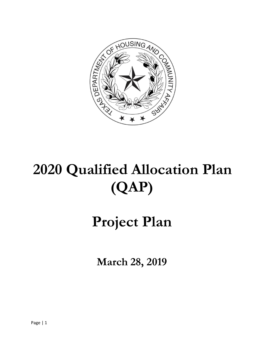

# **2020 Qualified Allocation Plan (QAP)**

# **Project Plan**

**March 28, 2019**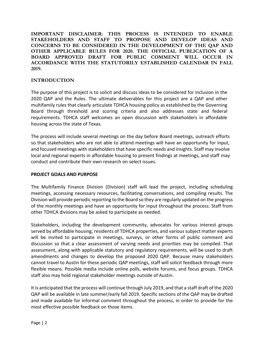**IMPORTANT DISCLAIMER: THIS PROCESS IS INTENDED TO ENABLE STAKEHOLDERS AND STAFF TO PROPOSE AND DEVELOP IDEAS AND CONCERNS TO BE CONSIDERED IN THE DEVELOPMENT OF THE QAP AND OTHER APPLICABLE RULES FOR 2020. THE OFFICIAL PUBLICATION OF A BOARD APPROVED DRAFT FOR PUBLIC COMMENT WILL OCCUR IN ACCORDANCE WITH THE STATUTORILY ESTABLISHED CALENDAR IN FALL 2019.** 

# **INTRODUCTION**

The purpose of this project is to solicit and discuss ideas to be considered for inclusion in the 2020 QAP and the Rules. The ultimate deliverables for this project are a QAP and other multifamily rules that clearly articulate TDHCA housing policy as established by the Governing Board through threshold and scoring criteria and also addresses state and federal requirements. TDHCA staff welcomes an open discussion with stakeholders in affordable housing across the state of Texas.

The process will include several meetings on the day before Board meetings, outreach efforts so that stakeholders who are not able to attend meetings will have an opportunity for input, and focused meetings with stakeholders that have specific needs and insights. Staff may involve local and regional experts in affordable housing to present findings at meetings, and staff may conduct and contribute their own research on select issues.

#### **PROJECT GOALS AND PURPOSE**

The Multifamily Finance Division (Division) staff will lead the project, including scheduling meetings, accessing necessary resources, facilitating conversations, and compiling results. The Division will provide periodic reporting to the Board so they are regularly updated on the progress of the monthly meetings and have an opportunity for input throughout the process. Staff from other TDHCA divisions may be asked to participate as needed.

Stakeholders, including the development community, advocates for various interest groups served by affordable housing, residents of TDHCA properties, and various subject matter experts will be invited to participate in meetings, surveys, or other forms of public comment and discussion so that a clear assessment of varying needs and priorities may be compiled. That assessment, along with applicable statutory and regulatory requirements, will be used to draft amendments and changes to develop the proposed 2020 QAP. Because many stakeholders cannot travel to Austin for these periodic QAP meetings, staff will solicit feedback through more flexible means. Possible media include online polls, website forums, and focus groups. TDHCA staff also may hold regional stakeholder meetings outside of Austin.

It is anticipated that the process will continue through July 2019, and that a staff draft of the 2020 QAP will be available in late summer/early fall 2019. Specific sections of the QAP may be drafted and made available for informal comment throughout the process, in order to provide for the most effective possible feedback on those items.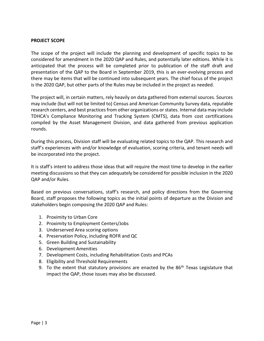#### **PROJECT SCOPE**

The scope of the project will include the planning and development of specific topics to be considered for amendment in the 2020 QAP and Rules, and potentially later editions. While it is anticipated that the process will be completed prior to publication of the staff draft and presentation of the QAP to the Board in September 2019, this is an ever-evolving process and there may be items that will be continued into subsequent years. The chief focus of the project is the 2020 QAP, but other parts of the Rules may be included in the project as needed.

The project will, in certain matters, rely heavily on data gathered from external sources. Sources may include (but will not be limited to) Census and American Community Survey data, reputable research centers, and best practices from other organizations or states. Internal data may include TDHCA's Compliance Monitoring and Tracking System (CMTS), data from cost certifications compiled by the Asset Management Division, and data gathered from previous application rounds.

During this process, Division staff will be evaluating related topics to the QAP. This research and staff's experiences with and/or knowledge of evaluation, scoring criteria, and tenant needs will be incorporated into the project.

It is staff's intent to address those ideas that will require the most time to develop in the earlier meeting discussions so that they can adequately be considered for possible inclusion in the 2020 QAP and/or Rules.

Based on previous conversations, staff's research, and policy directions from the Governing Board, staff proposes the following topics as the initial points of departure as the Division and stakeholders begin composing the 2020 QAP and Rules:

- 1. Proximity to Urban Core
- 2. Proximity to Employment Centers/Jobs
- 3. Underserved Area scoring options
- 4. Preservation Policy, including ROFR and QC
- 5. Green Building and Sustainability
- 6. Development Amenities
- 7. Development Costs, including Rehabilitation Costs and PCAs
- 8. Eligibility and Threshold Requirements
- 9. To the extent that statutory provisions are enacted by the  $86<sup>th</sup>$  Texas Legislature that impact the QAP, those issues may also be discussed.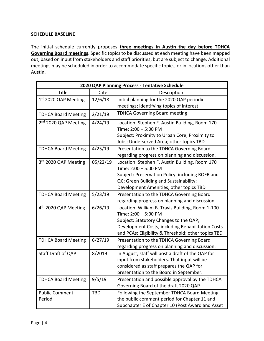## **SCHEDULE BASELINE**

The initial schedule currently proposes **three meetings in Austin the day before TDHCA Governing Board meetings**. Specific topics to be discussed at each meeting have been mapped out, based on input from stakeholders and staff priorities, but are subject to change. Additional meetings may be scheduled in order to accommodate specific topics, or in locations other than Austin.

| 2020 QAP Planning Process - Tentative Schedule |            |                                                     |  |  |  |  |  |
|------------------------------------------------|------------|-----------------------------------------------------|--|--|--|--|--|
| Title                                          | Date       | Description                                         |  |  |  |  |  |
| 1st 2020 QAP Meeting                           | 12/6/18    | Initial planning for the 2020 QAP periodic          |  |  |  |  |  |
|                                                |            | meetings; identifying topics of interest            |  |  |  |  |  |
| <b>TDHCA Board Meeting</b>                     | 2/21/19    | <b>TDHCA Governing Board meeting</b>                |  |  |  |  |  |
| 2 <sup>nd</sup> 2020 QAP Meeting               | 4/24/19    | Location: Stephen F. Austin Building, Room 170      |  |  |  |  |  |
|                                                |            | Time: 2:00 - 5:00 PM                                |  |  |  |  |  |
|                                                |            | Subject: Proximity to Urban Core; Proximity to      |  |  |  |  |  |
|                                                |            | Jobs; Underserved Area; other topics TBD            |  |  |  |  |  |
| <b>TDHCA Board Meeting</b>                     | 4/25/19    | Presentation to the TDHCA Governing Board           |  |  |  |  |  |
|                                                |            | regarding progress on planning and discussion.      |  |  |  |  |  |
| 3rd 2020 QAP Meeting                           | 05/22/19   | Location: Stephen F. Austin Building, Room 170      |  |  |  |  |  |
|                                                |            | Time: 2:00 - 5:00 PM                                |  |  |  |  |  |
|                                                |            | Subject: Preservation Policy, including ROFR and    |  |  |  |  |  |
|                                                |            | QC; Green Building and Sustainability;              |  |  |  |  |  |
|                                                |            | Development Amenities; other topics TBD             |  |  |  |  |  |
| <b>TDHCA Board Meeting</b>                     | 5/23/19    | Presentation to the TDHCA Governing Board           |  |  |  |  |  |
|                                                |            | regarding progress on planning and discussion.      |  |  |  |  |  |
| 4 <sup>th</sup> 2020 QAP Meeting               | 6/26/19    | Location: William B. Travis Building, Room 1-100    |  |  |  |  |  |
|                                                |            | Time: 2:00 - 5:00 PM                                |  |  |  |  |  |
|                                                |            | Subject: Statutory Changes to the QAP;              |  |  |  |  |  |
|                                                |            | Development Costs, including Rehabilitation Costs   |  |  |  |  |  |
|                                                |            | and PCAs; Eligibility & Threshold; other topics TBD |  |  |  |  |  |
| <b>TDHCA Board Meeting</b>                     | 6/27/19    | Presentation to the TDHCA Governing Board           |  |  |  |  |  |
|                                                |            | regarding progress on planning and discussion.      |  |  |  |  |  |
| Staff Draft of QAP                             | 8/2019     | In August, staff will post a draft of the QAP for   |  |  |  |  |  |
|                                                |            | input from stakeholders. That input will be         |  |  |  |  |  |
|                                                |            | considered as staff prepares the QAP for            |  |  |  |  |  |
|                                                |            | presentation to the Board in September.             |  |  |  |  |  |
| <b>TDHCA Board Meeting</b>                     | 9/5/19     | Presentation and possible approval by the TDHCA     |  |  |  |  |  |
|                                                |            | Governing Board of the draft 2020 QAP               |  |  |  |  |  |
| <b>Public Comment</b>                          | <b>TBD</b> | Following the September TDHCA Board Meeting,        |  |  |  |  |  |
| Period                                         |            | the public comment period for Chapter 11 and        |  |  |  |  |  |
|                                                |            | Subchapter E of Chapter 10 (Post Award and Asset    |  |  |  |  |  |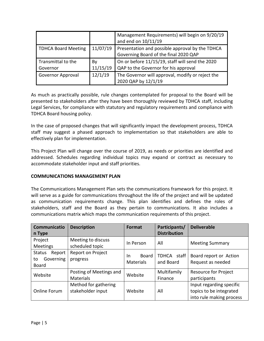|                                |                | Management Requirements) will begin on 9/20/19<br>and end on 10/11/19                    |  |  |
|--------------------------------|----------------|------------------------------------------------------------------------------------------|--|--|
| <b>TDHCA Board Meeting</b>     | 11/07/19       | Presentation and possible approval by the TDHCA<br>Governing Board of the final 2020 QAP |  |  |
| Transmittal to the<br>Governor | By<br>11/15/19 | On or before 11/15/19, staff will send the 2020<br>QAP to the Governor for his approval  |  |  |
| <b>Governor Approval</b>       | 12/1/19        | The Governor will approval, modify or reject the<br>2020 QAP by 12/1/19                  |  |  |

As much as practically possible, rule changes contemplated for proposal to the Board will be presented to stakeholders after they have been thoroughly reviewed by TDHCA staff, including Legal Services, for compliance with statutory and regulatory requirements and compliance with TDHCA Board housing policy.

In the case of proposed changes that will significantly impact the development process, TDHCA staff may suggest a phased approach to implementation so that stakeholders are able to effectively plan for implementation.

This Project Plan will change over the course of 2019, as needs or priorities are identified and addressed. Schedules regarding individual topics may expand or contract as necessary to accommodate stakeholder input and staff priorities.

#### **COMMUNICATIONS MANAGEMENT PLAN**

The Communications Management Plan sets the communications framework for this project. It will serve as a guide for communications throughout the life of the project and will be updated as communication requirements change. This plan identifies and defines the roles of stakeholders, staff and the Board as they pertain to communications. It also includes a communications matrix which maps the communication requirements of this project.

| <b>Communicatio</b><br>n Type                              | <b>Description</b>                          | Format                           | Participants/<br><b>Distribution</b> | <b>Deliverable</b>                                                              |
|------------------------------------------------------------|---------------------------------------------|----------------------------------|--------------------------------------|---------------------------------------------------------------------------------|
| Project<br><b>Meetings</b>                                 | Meeting to discuss<br>scheduled topic       | In Person                        | All                                  | <b>Meeting Summary</b>                                                          |
| <b>Status</b><br>Report<br>Governing<br>to<br><b>Board</b> | Report on Project<br>progress               | Board<br>In.<br><b>Materials</b> | TDHCA staff<br>and Board             | Board report or Action<br>Request as needed                                     |
| Website                                                    | Posting of Meetings and<br><b>Materials</b> | Website                          | Multifamily<br>Finance               | <b>Resource for Project</b><br>participants                                     |
| Online Forum                                               | Method for gathering<br>stakeholder input   | Website                          | All                                  | Input regarding specific<br>topics to be integrated<br>into rule making process |